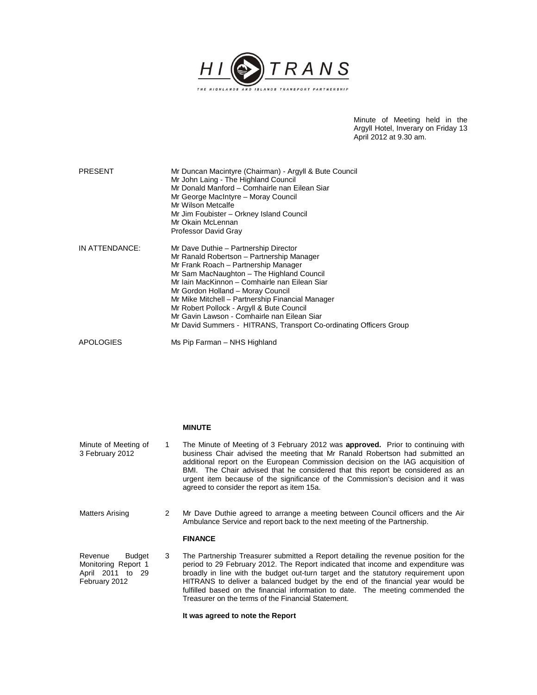

Minute of Meeting held in the Argyll Hotel, Inverary on Friday 13 April 2012 at 9.30 am.

| <b>PRESENT</b> | Mr Duncan Macintyre (Chairman) - Argyll & Bute Council<br>Mr John Laing - The Highland Council<br>Mr Donald Manford - Comhairle nan Eilean Siar<br>Mr George MacIntyre - Moray Council<br>Mr Wilson Metcalfe<br>Mr Jim Foubister - Orkney Island Council<br>Mr Okain McLennan<br>Professor David Gray                                                                                                                                                                               |
|----------------|-------------------------------------------------------------------------------------------------------------------------------------------------------------------------------------------------------------------------------------------------------------------------------------------------------------------------------------------------------------------------------------------------------------------------------------------------------------------------------------|
| IN ATTENDANCE: | Mr Dave Duthie - Partnership Director<br>Mr Ranald Robertson - Partnership Manager<br>Mr Frank Roach – Partnership Manager<br>Mr Sam MacNaughton - The Highland Council<br>Mr Iain MacKinnon - Comhairle nan Eilean Siar<br>Mr Gordon Holland - Moray Council<br>Mr Mike Mitchell – Partnership Financial Manager<br>Mr Robert Pollock - Argyll & Bute Council<br>Mr Gavin Lawson - Comhairle nan Eilean Siar<br>Mr David Summers - HITRANS, Transport Co-ordinating Officers Group |
| APOLOGIES      | Ms Pip Farman – NHS Highland                                                                                                                                                                                                                                                                                                                                                                                                                                                        |

|                                                                               |               | <b>MINUTE</b>                                                                                                                                                                                                                                                                                                                                                                                                                                                                            |
|-------------------------------------------------------------------------------|---------------|------------------------------------------------------------------------------------------------------------------------------------------------------------------------------------------------------------------------------------------------------------------------------------------------------------------------------------------------------------------------------------------------------------------------------------------------------------------------------------------|
| Minute of Meeting of<br>3 February 2012                                       | 1.            | The Minute of Meeting of 3 February 2012 was approved. Prior to continuing with<br>business Chair advised the meeting that Mr Ranald Robertson had submitted an<br>additional report on the European Commission decision on the IAG acquisition of<br>BMI. The Chair advised that he considered that this report be considered as an<br>urgent item because of the significance of the Commission's decision and it was<br>agreed to consider the report as item 15a.                    |
| Matters Arising                                                               | $\mathcal{P}$ | Mr Dave Duthie agreed to arrange a meeting between Council officers and the Air<br>Ambulance Service and report back to the next meeting of the Partnership.                                                                                                                                                                                                                                                                                                                             |
|                                                                               |               | <b>FINANCE</b>                                                                                                                                                                                                                                                                                                                                                                                                                                                                           |
| Revenue<br>Budget<br>Monitoring Report 1<br>April 2011 to 29<br>February 2012 | 3             | The Partnership Treasurer submitted a Report detailing the revenue position for the<br>period to 29 February 2012. The Report indicated that income and expenditure was<br>broadly in line with the budget out-turn target and the statutory requirement upon<br>HITRANS to deliver a balanced budget by the end of the financial year would be<br>fulfilled based on the financial information to date. The meeting commended the<br>Treasurer on the terms of the Financial Statement. |

**It was agreed to note the Report**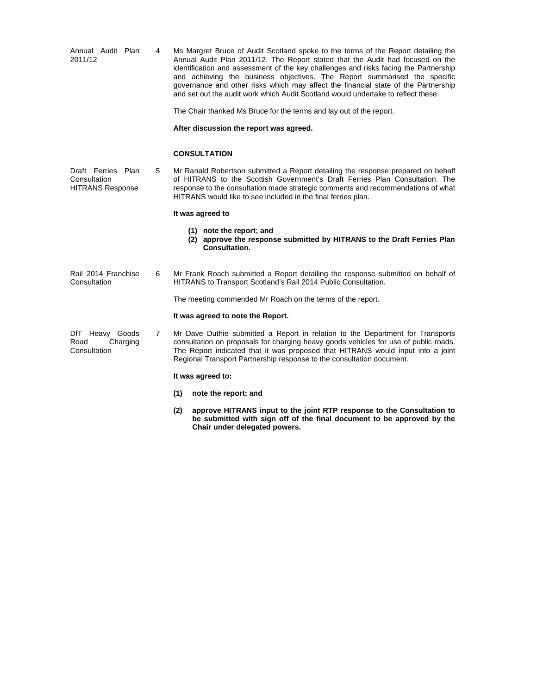| Annual Audit Plan<br>2011/12                                  | 4 | Ms Margret Bruce of Audit Scotland spoke to the terms of the Report detailing the<br>Annual Audit Plan 2011/12. The Report stated that the Audit had focused on the<br>identification and assessment of the key challenges and risks facing the Partnership<br>and achieving the business objectives. The Report summarised the specific<br>governance and other risks which may affect the financial state of the Partnership<br>and set out the audit work which Audit Scotland would undertake to reflect these. |
|---------------------------------------------------------------|---|---------------------------------------------------------------------------------------------------------------------------------------------------------------------------------------------------------------------------------------------------------------------------------------------------------------------------------------------------------------------------------------------------------------------------------------------------------------------------------------------------------------------|
|                                                               |   | The Chair thanked Ms Bruce for the terms and lay out of the report.                                                                                                                                                                                                                                                                                                                                                                                                                                                 |
|                                                               |   | After discussion the report was agreed.                                                                                                                                                                                                                                                                                                                                                                                                                                                                             |
|                                                               |   | <b>CONSULTATION</b>                                                                                                                                                                                                                                                                                                                                                                                                                                                                                                 |
| Draft Ferries Plan<br>Consultation<br><b>HITRANS Response</b> | 5 | Mr Ranald Robertson submitted a Report detailing the response prepared on behalf<br>of HITRANS to the Scottish Government's Draft Ferries Plan Consultation. The<br>response to the consultation made strategic comments and recommendations of what<br>HITRANS would like to see included in the final ferries plan.                                                                                                                                                                                               |
|                                                               |   | It was agreed to                                                                                                                                                                                                                                                                                                                                                                                                                                                                                                    |
|                                                               |   | (1) note the report; and<br>(2) approve the response submitted by HITRANS to the Draft Ferries Plan<br><b>Consultation.</b>                                                                                                                                                                                                                                                                                                                                                                                         |
| Rail 2014 Franchise<br>Consultation                           | 6 | Mr Frank Roach submitted a Report detailing the response submitted on behalf of<br>HITRANS to Transport Scotland's Rail 2014 Public Consultation.                                                                                                                                                                                                                                                                                                                                                                   |
|                                                               |   | The meeting commended Mr Roach on the terms of the report.                                                                                                                                                                                                                                                                                                                                                                                                                                                          |
|                                                               |   | It was agreed to note the Report.                                                                                                                                                                                                                                                                                                                                                                                                                                                                                   |
| DfT Heavy Goods<br>Road<br>Charging<br>Consultation           | 7 | Mr Dave Duthie submitted a Report in relation to the Department for Transports<br>consultation on proposals for charging heavy goods vehicles for use of public roads.<br>The Report indicated that it was proposed that HITRANS would input into a joint<br>Regional Transport Partnership response to the consultation document.                                                                                                                                                                                  |
|                                                               |   | It was agreed to:                                                                                                                                                                                                                                                                                                                                                                                                                                                                                                   |
|                                                               |   | (1)<br>note the report; and                                                                                                                                                                                                                                                                                                                                                                                                                                                                                         |
|                                                               |   | approve HITRANS input to the joint RTP response to the Consultation to<br>(2)<br>be submitted with sign off of the final document to be approved by the                                                                                                                                                                                                                                                                                                                                                             |

**Chair under delegated powers.**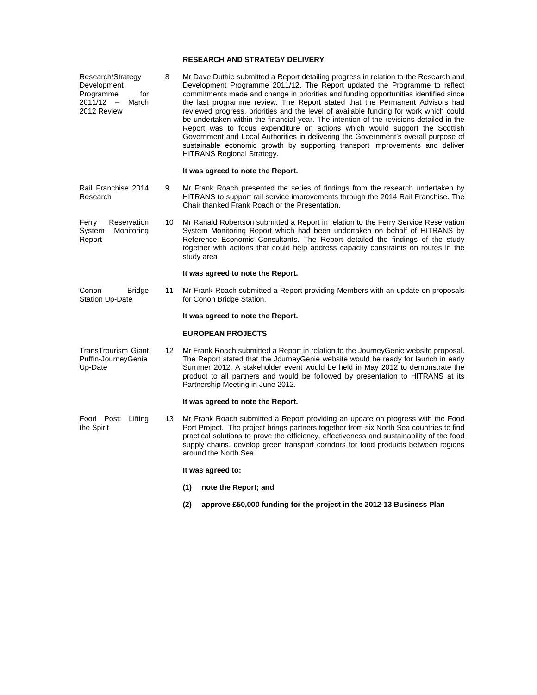#### **RESEARCH AND STRATEGY DELIVERY**

Research/Strategy Development Programme for 2011/12 – March 2012 Review 8 Mr Dave Duthie submitted a Report detailing progress in relation to the Research and Development Programme 2011/12. The Report updated the Programme to reflect commitments made and change in priorities and funding opportunities identified since the last programme review. The Report stated that the Permanent Advisors had reviewed progress, priorities and the level of available funding for work which could be undertaken within the financial year. The intention of the revisions detailed in the Report was to focus expenditure on actions which would support the Scottish Government and Local Authorities in delivering the Government's overall purpose of sustainable economic growth by supporting transport improvements and deliver HITRANS Regional Strategy.

## **It was agreed to note the Report.**

- Rail Franchise 2014 Research 9 Mr Frank Roach presented the series of findings from the research undertaken by HITRANS to support rail service improvements through the 2014 Rail Franchise. The Chair thanked Frank Roach or the Presentation.
- Ferry Reservation System Monitoring Report 10 Mr Ranald Robertson submitted a Report in relation to the Ferry Service Reservation System Monitoring Report which had been undertaken on behalf of HITRANS by Reference Economic Consultants. The Report detailed the findings of the study together with actions that could help address capacity constraints on routes in the study area

# **It was agreed to note the Report.**

Conon Bridge Station Up-Date 11 Mr Frank Roach submitted a Report providing Members with an update on proposals for Conon Bridge Station.

#### **It was agreed to note the Report.**

# **EUROPEAN PROJECTS**

TransTrourism Giant Puffin-JourneyGenie Up-Date 12 Mr Frank Roach submitted a Report in relation to the JourneyGenie website proposal. The Report stated that the JourneyGenie website would be ready for launch in early Summer 2012. A stakeholder event would be held in May 2012 to demonstrate the product to all partners and would be followed by presentation to HITRANS at its Partnership Meeting in June 2012.

### **It was agreed to note the Report.**

Food Post: Lifting the Spirit 13 Mr Frank Roach submitted a Report providing an update on progress with the Food Port Project. The project brings partners together from six North Sea countries to find practical solutions to prove the efficiency, effectiveness and sustainability of the food supply chains, develop green transport corridors for food products between regions around the North Sea.

#### **It was agreed to:**

- **(1) note the Report; and**
- **(2) approve £50,000 funding for the project in the 2012-13 Business Plan**